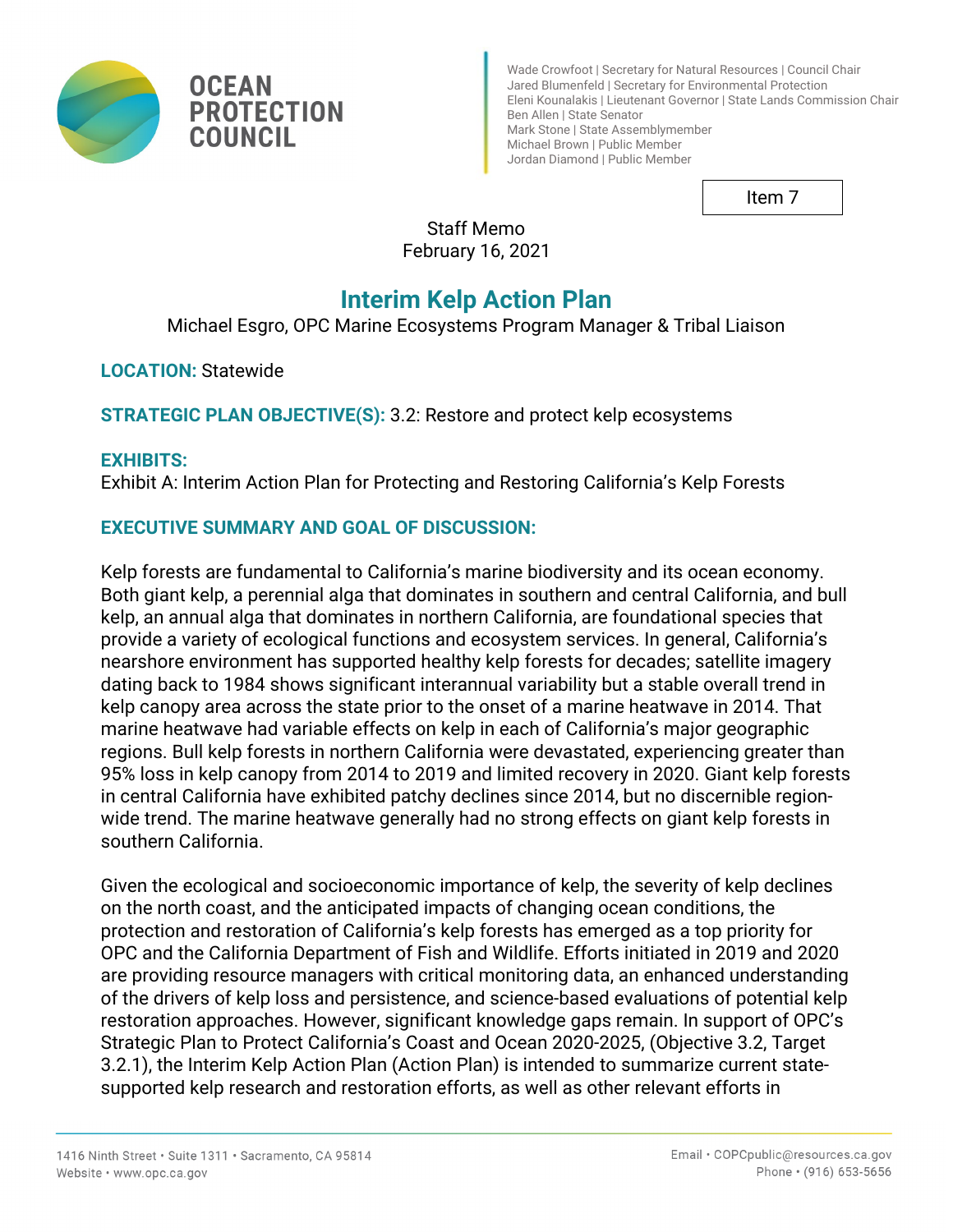

Wade Crowfoot | Secretary for Natural Resources | Council Chair Jared Blumenfeld | Secretary for Environmental Protection Eleni Kounalakis | Lieutenant Governor | State Lands Commission Chair Ben Allen | State Senator Mark Stone | State Assemblymember Michael Brown | Public Member Jordan Diamond | Public Member

Item 7

Staff Memo February 16, 2021

# **Interim Kelp Action Plan**

Michael Esgro, OPC Marine Ecosystems Program Manager & Tribal Liaison

**LOCATION:** Statewide

**STRATEGIC PLAN OBJECTIVE(S):** 3.2: Restore and protect kelp ecosystems

## **EXHIBITS:**

Exhibit A: Interim Action Plan for Protecting and Restoring California's Kelp Forests

## **EXECUTIVE SUMMARY AND GOAL OF DISCUSSION:**

Kelp forests are fundamental to California's marine biodiversity and its ocean economy. Both giant kelp, a perennial alga that dominates in southern and central California, and bull kelp, an annual alga that dominates in northern California, are foundational species that provide a variety of ecological functions and ecosystem services. In general, California's nearshore environment has supported healthy kelp forests for decades; satellite imagery dating back to 1984 shows significant interannual variability but a stable overall trend in kelp canopy area across the state prior to the onset of a marine heatwave in 2014. That marine heatwave had variable effects on kelp in each of California's major geographic regions. Bull kelp forests in northern California were devastated, experiencing greater than 95% loss in kelp canopy from 2014 to 2019 and limited recovery in 2020. Giant kelp forests in central California have exhibited patchy declines since 2014, but no discernible regionwide trend. The marine heatwave generally had no strong effects on giant kelp forests in southern California.

Given the ecological and socioeconomic importance of kelp, the severity of kelp declines on the north coast, and the anticipated impacts of changing ocean conditions, the protection and restoration of California's kelp forests has emerged as a top priority for OPC and the California Department of Fish and Wildlife. Efforts initiated in 2019 and 2020 are providing resource managers with critical monitoring data, an enhanced understanding of the drivers of kelp loss and persistence, and science-based evaluations of potential kelp restoration approaches. However, significant knowledge gaps remain. In support of OPC's Strategic Plan to Protect California's Coast and Ocean 2020-2025, (Objective 3.2, Target 3.2.1), the Interim Kelp Action Plan (Action Plan) is intended to summarize current statesupported kelp research and restoration efforts, as well as other relevant efforts in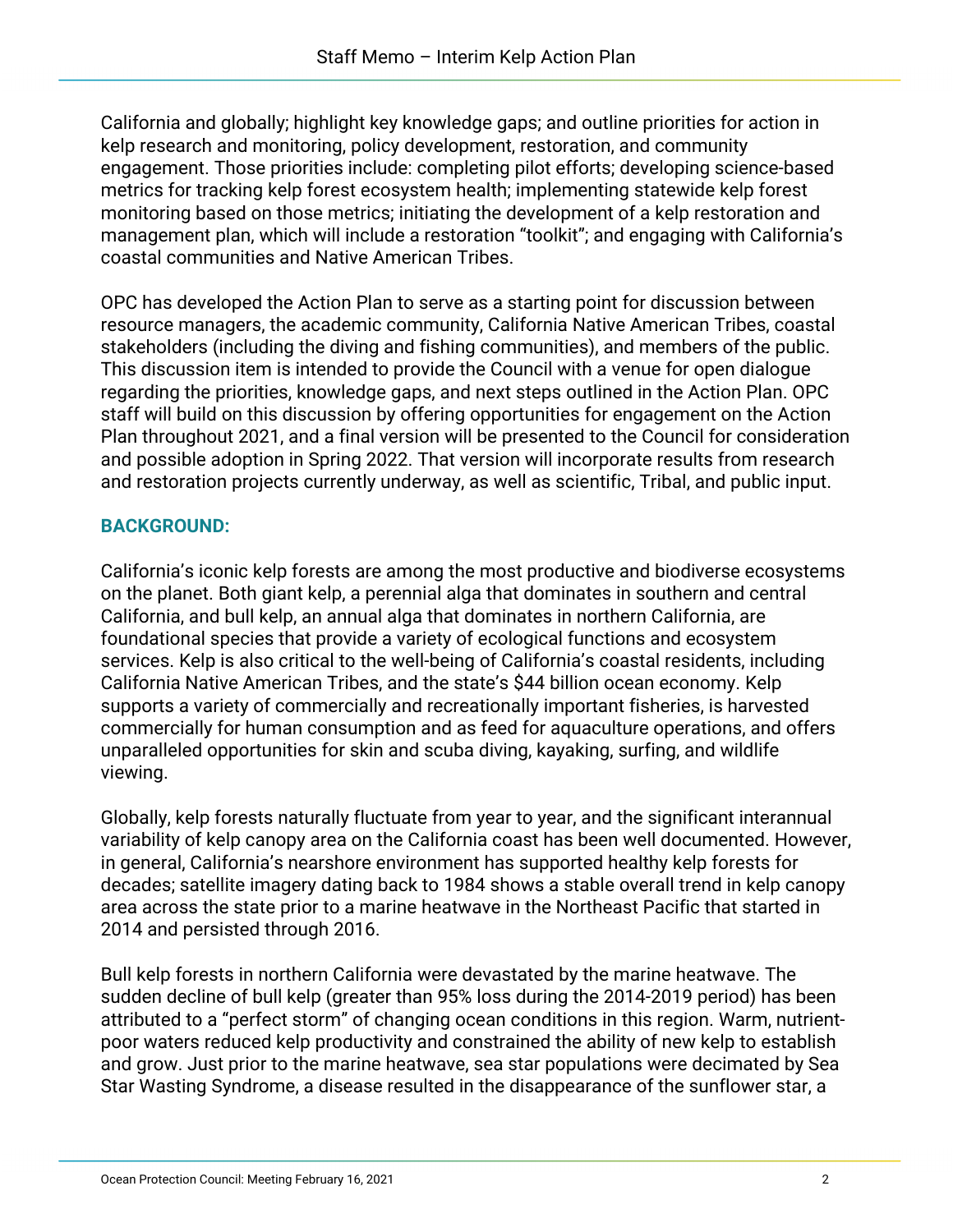California and globally; highlight key knowledge gaps; and outline priorities for action in kelp research and monitoring, policy development, restoration, and community engagement. Those priorities include: completing pilot efforts; developing science-based metrics for tracking kelp forest ecosystem health; implementing statewide kelp forest monitoring based on those metrics; initiating the development of a kelp restoration and management plan, which will include a restoration "toolkit"; and engaging with California's coastal communities and Native American Tribes.

OPC has developed the Action Plan to serve as a starting point for discussion between resource managers, the academic community, California Native American Tribes, coastal stakeholders (including the diving and fishing communities), and members of the public. This discussion item is intended to provide the Council with a venue for open dialogue regarding the priorities, knowledge gaps, and next steps outlined in the Action Plan. OPC staff will build on this discussion by offering opportunities for engagement on the Action Plan throughout 2021, and a final version will be presented to the Council for consideration and possible adoption in Spring 2022. That version will incorporate results from research and restoration projects currently underway, as well as scientific, Tribal, and public input.

## **BACKGROUND:**

California's iconic kelp forests are among the most productive and biodiverse ecosystems on the planet. Both giant kelp, a perennial alga that dominates in southern and central California, and bull kelp, an annual alga that dominates in northern California, are foundational species that provide a variety of ecological functions and ecosystem services. Kelp is also critical to the well-being of California's coastal residents, including California Native American Tribes, and the state's \$44 billion ocean economy. Kelp supports a variety of commercially and recreationally important fisheries, is harvested commercially for human consumption and as feed for aquaculture operations, and offers unparalleled opportunities for skin and scuba diving, kayaking, surfing, and wildlife viewing.

Globally, kelp forests naturally fluctuate from year to year, and the significant interannual variability of kelp canopy area on the California coast has been well documented. However, in general, California's nearshore environment has supported healthy kelp forests for decades; satellite imagery dating back to 1984 shows a stable overall trend in kelp canopy area across the state prior to a marine heatwave in the Northeast Pacific that started in 2014 and persisted through 2016.

Bull kelp forests in northern California were devastated by the marine heatwave. The sudden decline of bull kelp (greater than 95% loss during the 2014-2019 period) has been attributed to a "perfect storm" of changing ocean conditions in this region. Warm, nutrientpoor waters reduced kelp productivity and constrained the ability of new kelp to establish and grow. Just prior to the marine heatwave, sea star populations were decimated by Sea Star Wasting Syndrome, a disease resulted in the disappearance of the sunflower star, a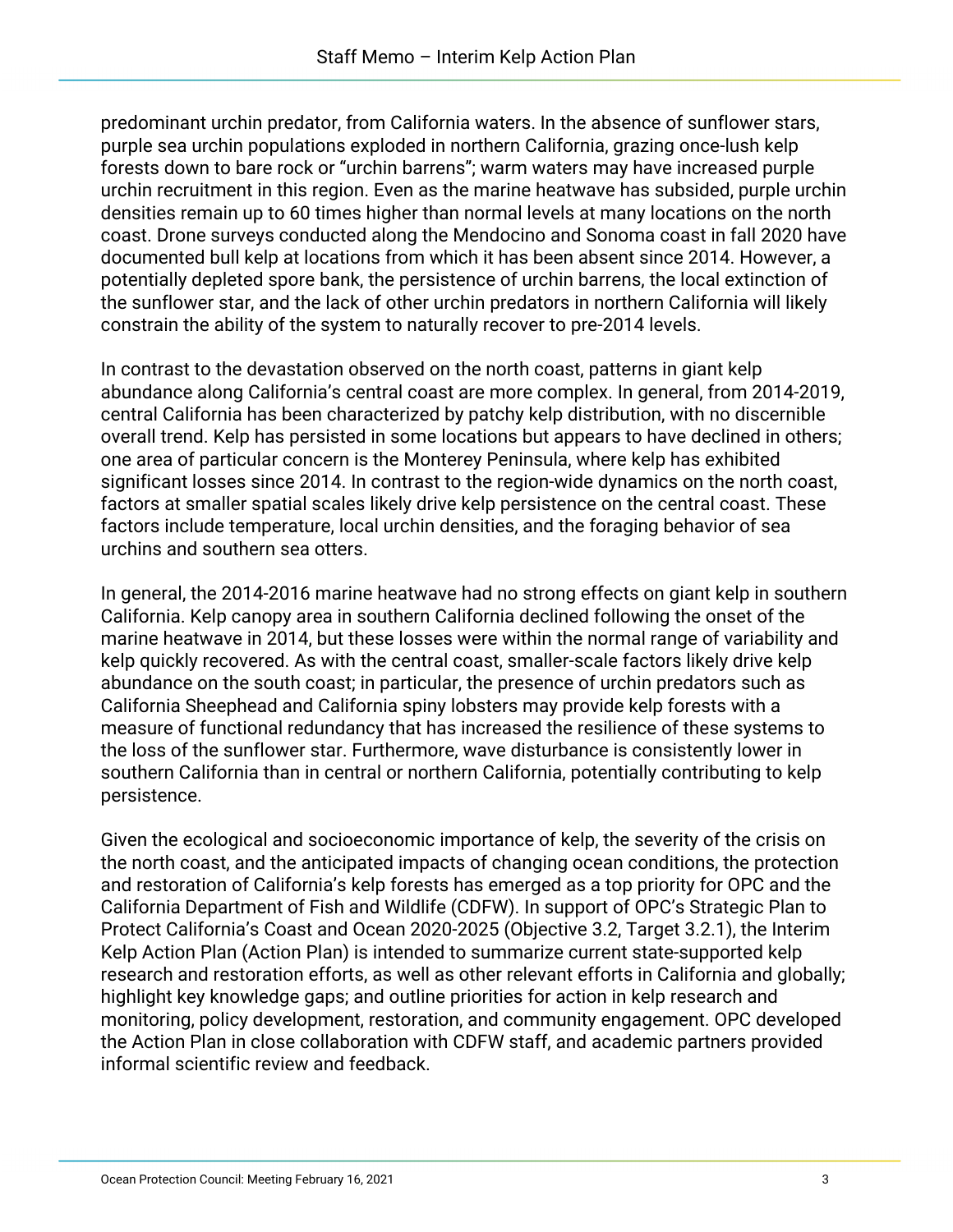predominant urchin predator, from California waters. In the absence of sunflower stars, purple sea urchin populations exploded in northern California, grazing once-lush kelp forests down to bare rock or "urchin barrens"; warm waters may have increased purple urchin recruitment in this region. Even as the marine heatwave has subsided, purple urchin densities remain up to 60 times higher than normal levels at many locations on the north coast. Drone surveys conducted along the Mendocino and Sonoma coast in fall 2020 have documented bull kelp at locations from which it has been absent since 2014. However, a potentially depleted spore bank, the persistence of urchin barrens, the local extinction of the sunflower star, and the lack of other urchin predators in northern California will likely constrain the ability of the system to naturally recover to pre-2014 levels.

In contrast to the devastation observed on the north coast, patterns in giant kelp abundance along California's central coast are more complex. In general, from 2014-2019, central California has been characterized by patchy kelp distribution, with no discernible overall trend. Kelp has persisted in some locations but appears to have declined in others; one area of particular concern is the Monterey Peninsula, where kelp has exhibited significant losses since 2014. In contrast to the region-wide dynamics on the north coast, factors at smaller spatial scales likely drive kelp persistence on the central coast. These factors include temperature, local urchin densities, and the foraging behavior of sea urchins and southern sea otters.

In general, the 2014-2016 marine heatwave had no strong effects on giant kelp in southern California. Kelp canopy area in southern California declined following the onset of the marine heatwave in 2014, but these losses were within the normal range of variability and kelp quickly recovered. As with the central coast, smaller-scale factors likely drive kelp abundance on the south coast; in particular, the presence of urchin predators such as California Sheephead and California spiny lobsters may provide kelp forests with a measure of functional redundancy that has increased the resilience of these systems to the loss of the sunflower star. Furthermore, wave disturbance is consistently lower in southern California than in central or northern California, potentially contributing to kelp persistence.

Given the ecological and socioeconomic importance of kelp, the severity of the crisis on the north coast, and the anticipated impacts of changing ocean conditions, the protection and restoration of California's kelp forests has emerged as a top priority for OPC and the California Department of Fish and Wildlife (CDFW). In support of OPC's Strategic Plan to Protect California's Coast and Ocean 2020-2025 (Objective 3.2, Target 3.2.1), the Interim Kelp Action Plan (Action Plan) is intended to summarize current state-supported kelp research and restoration efforts, as well as other relevant efforts in California and globally; highlight key knowledge gaps; and outline priorities for action in kelp research and monitoring, policy development, restoration, and community engagement. OPC developed the Action Plan in close collaboration with CDFW staff, and academic partners provided informal scientific review and feedback.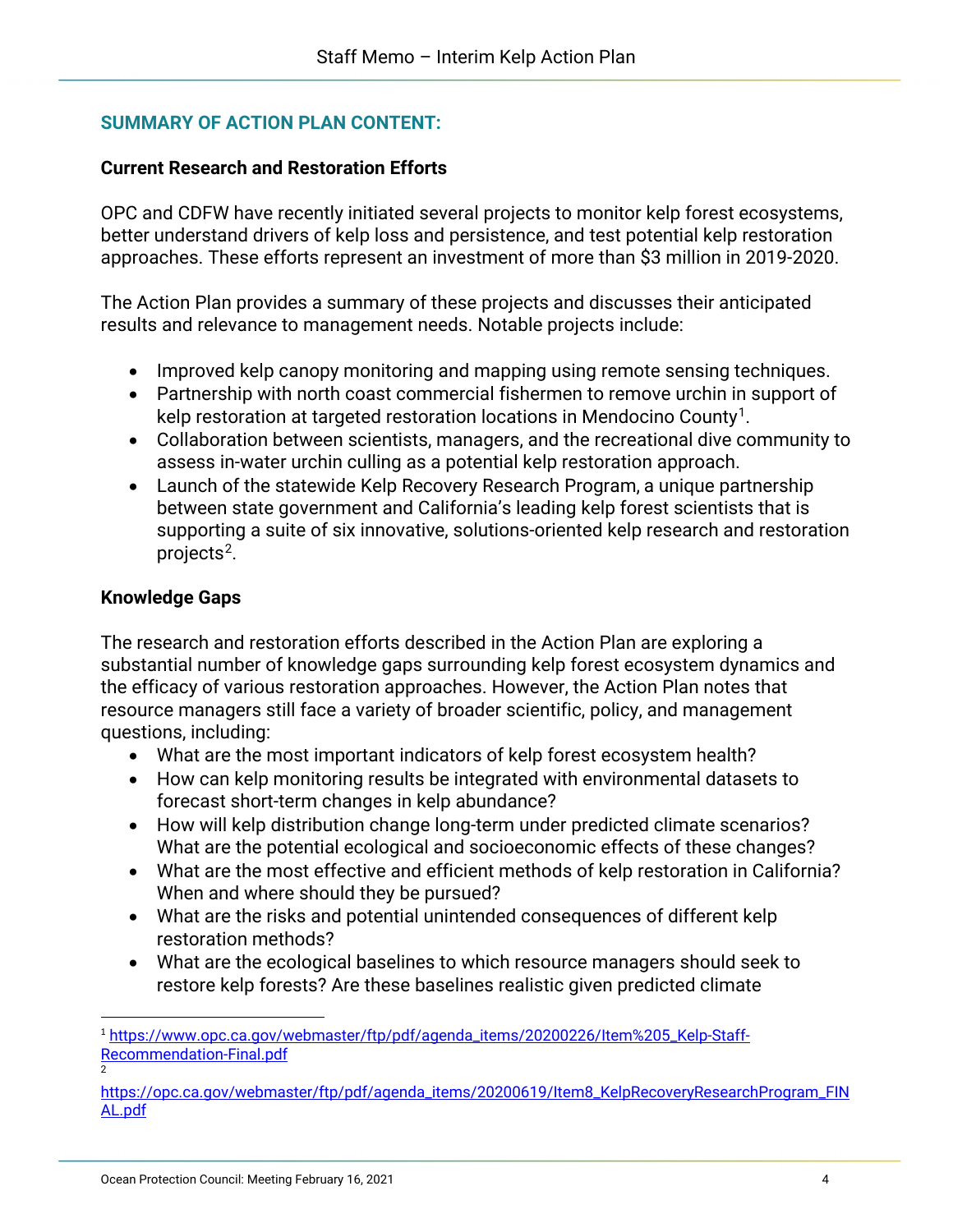## **SUMMARY OF ACTION PLAN CONTENT:**

#### **Current Research and Restoration Efforts**

OPC and CDFW have recently initiated several projects to monitor kelp forest ecosystems, better understand drivers of kelp loss and persistence, and test potential kelp restoration approaches. These efforts represent an investment of more than \$3 million in 2019-2020.

The Action Plan provides a summary of these projects and discusses their anticipated results and relevance to management needs. Notable projects include:

- Improved kelp canopy monitoring and mapping using remote sensing techniques.
- Partnership with north coast commercial fishermen to remove urchin in support of kelp restoration at targeted restoration locations in Mendocino County[1](#page-3-0).
- Collaboration between scientists, managers, and the recreational dive community to assess in-water urchin culling as a potential kelp restoration approach.
- Launch of the statewide Kelp Recovery Research Program, a unique partnership between state government and California's leading kelp forest scientists that is supporting a suite of six innovative, solutions-oriented kelp research and restoration projects<sup>[2](#page-3-1)</sup>.

#### **Knowledge Gaps**

2

The research and restoration efforts described in the Action Plan are exploring a substantial number of knowledge gaps surrounding kelp forest ecosystem dynamics and the efficacy of various restoration approaches. However, the Action Plan notes that resource managers still face a variety of broader scientific, policy, and management questions, including:

- What are the most important indicators of kelp forest ecosystem health?
- How can kelp monitoring results be integrated with environmental datasets to forecast short-term changes in kelp abundance?
- How will kelp distribution change long-term under predicted climate scenarios? What are the potential ecological and socioeconomic effects of these changes?
- What are the most effective and efficient methods of kelp restoration in California? When and where should they be pursued?
- What are the risks and potential unintended consequences of different kelp restoration methods?
- What are the ecological baselines to which resource managers should seek to restore kelp forests? Are these baselines realistic given predicted climate

<span id="page-3-0"></span><sup>1</sup> [https://www.opc.ca.gov/webmaster/ftp/pdf/agenda\\_items/20200226/Item%205\\_Kelp-Staff-](https://www.opc.ca.gov/webmaster/ftp/pdf/agenda_items/20200226/Item%205_Kelp-Staff-Recommendation-Final.pdf)[Recommendation-Final.pdf](https://www.opc.ca.gov/webmaster/ftp/pdf/agenda_items/20200226/Item%205_Kelp-Staff-Recommendation-Final.pdf)

<span id="page-3-1"></span>[https://opc.ca.gov/webmaster/ftp/pdf/agenda\\_items/20200619/Item8\\_KelpRecoveryResearchProgram\\_FIN](https://opc.ca.gov/webmaster/ftp/pdf/agenda_items/20200619/Item8_KelpRecoveryResearchProgram_FINAL.pdf) [AL.pdf](https://opc.ca.gov/webmaster/ftp/pdf/agenda_items/20200619/Item8_KelpRecoveryResearchProgram_FINAL.pdf)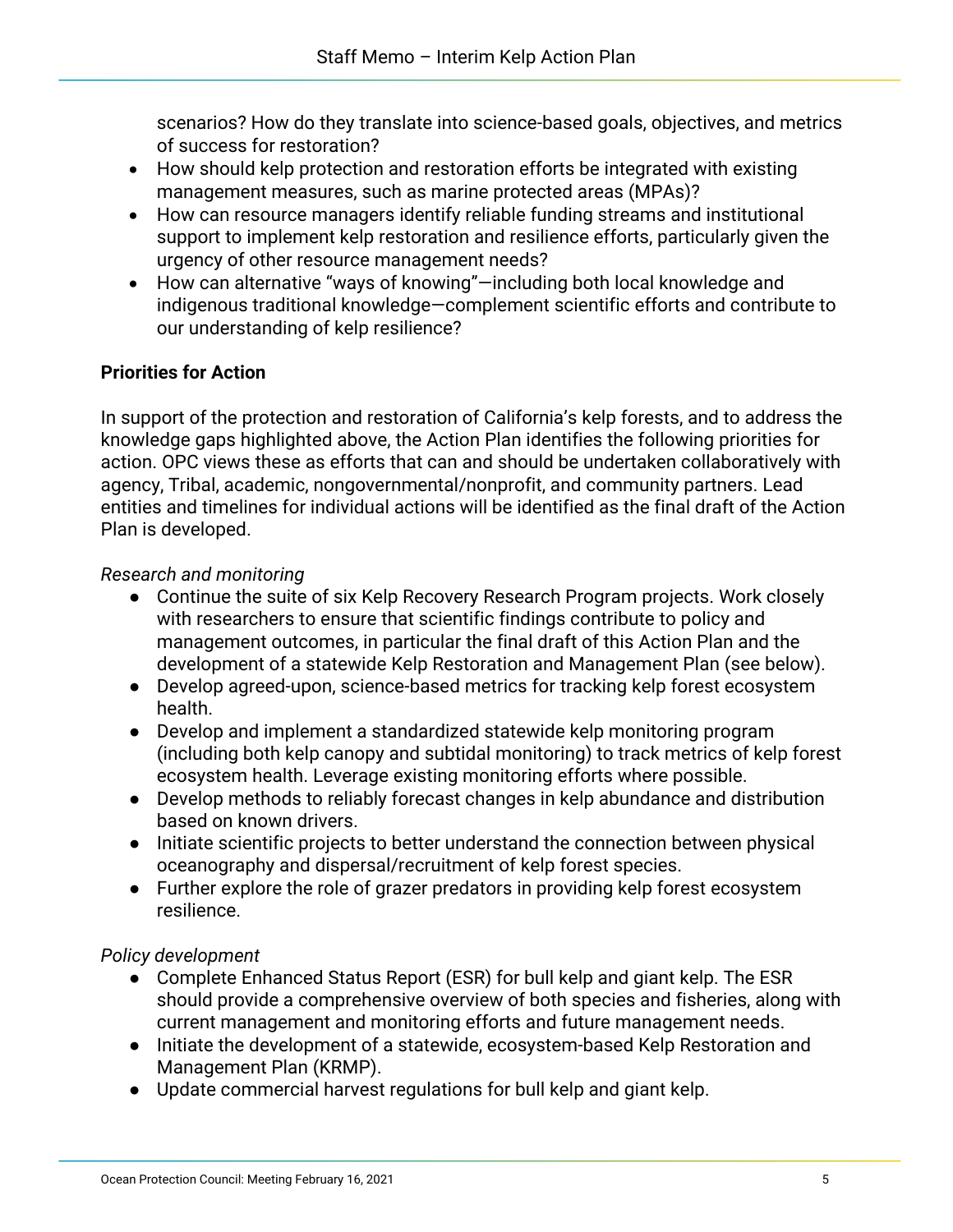scenarios? How do they translate into science-based goals, objectives, and metrics of success for restoration?

- How should kelp protection and restoration efforts be integrated with existing management measures, such as marine protected areas (MPAs)?
- How can resource managers identify reliable funding streams and institutional support to implement kelp restoration and resilience efforts, particularly given the urgency of other resource management needs?
- How can alternative "ways of knowing"—including both local knowledge and indigenous traditional knowledge—complement scientific efforts and contribute to our understanding of kelp resilience?

## **Priorities for Action**

In support of the protection and restoration of California's kelp forests, and to address the knowledge gaps highlighted above, the Action Plan identifies the following priorities for action. OPC views these as efforts that can and should be undertaken collaboratively with agency, Tribal, academic, nongovernmental/nonprofit, and community partners. Lead entities and timelines for individual actions will be identified as the final draft of the Action Plan is developed.

## *Research and monitoring*

- Continue the suite of six Kelp Recovery Research Program projects. Work closely with researchers to ensure that scientific findings contribute to policy and management outcomes, in particular the final draft of this Action Plan and the development of a statewide Kelp Restoration and Management Plan (see below).
- Develop agreed-upon, science-based metrics for tracking kelp forest ecosystem health.
- Develop and implement a standardized statewide kelp monitoring program (including both kelp canopy and subtidal monitoring) to track metrics of kelp forest ecosystem health. Leverage existing monitoring efforts where possible.
- Develop methods to reliably forecast changes in kelp abundance and distribution based on known drivers.
- Initiate scientific projects to better understand the connection between physical oceanography and dispersal/recruitment of kelp forest species.
- Further explore the role of grazer predators in providing kelp forest ecosystem resilience.

## *Policy development*

- Complete Enhanced Status Report (ESR) for bull kelp and giant kelp. The ESR should provide a comprehensive overview of both species and fisheries, along with current management and monitoring efforts and future management needs.
- Initiate the development of a statewide, ecosystem-based Kelp Restoration and Management Plan (KRMP).
- Update commercial harvest regulations for bull kelp and giant kelp.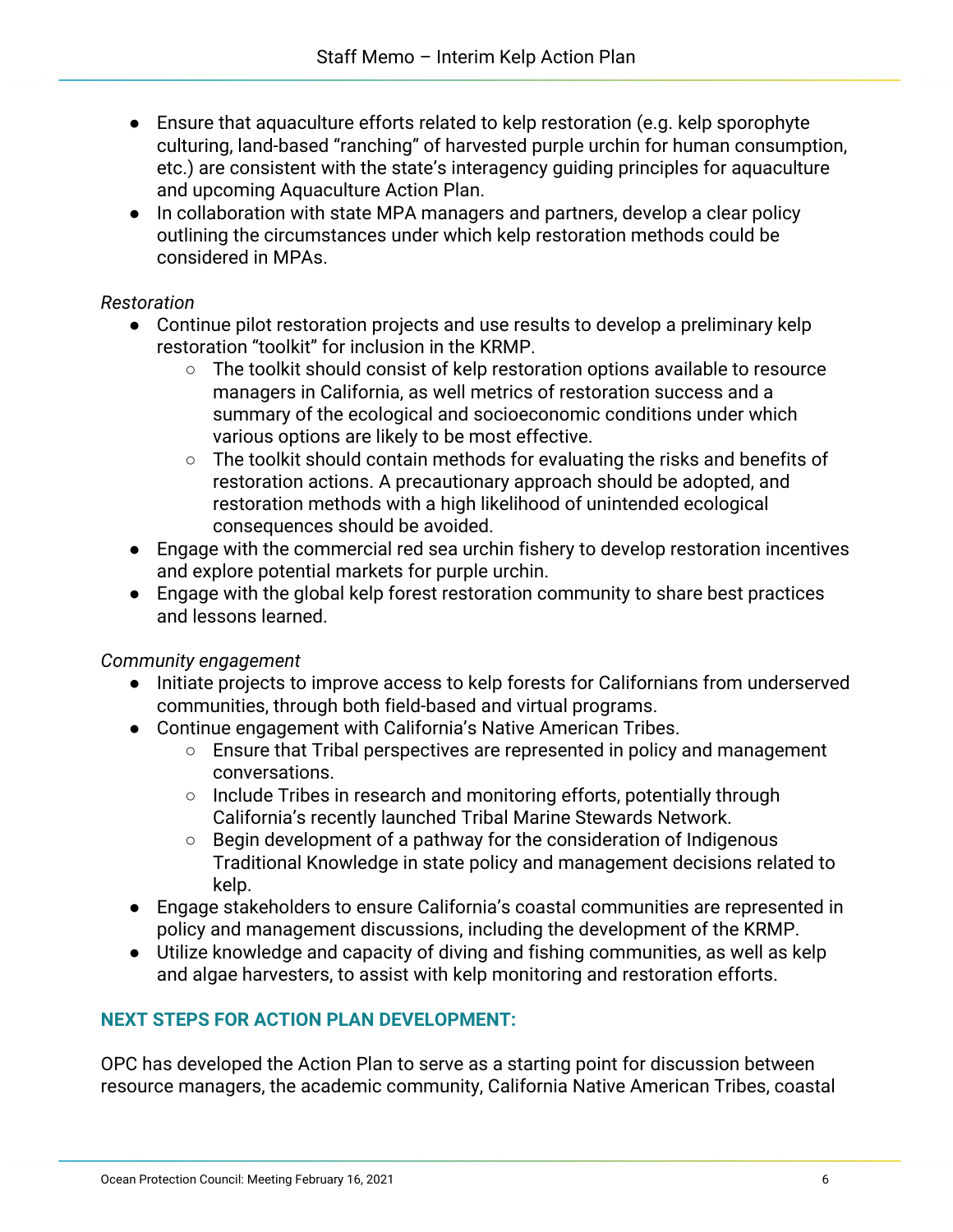- Ensure that aquaculture efforts related to kelp restoration (e.g. kelp sporophyte culturing, land-based "ranching" of harvested purple urchin for human consumption, etc.) are consistent with the state's interagency guiding principles for aquaculture and upcoming Aquaculture Action Plan.
- In collaboration with state MPA managers and partners, develop a clear policy outlining the circumstances under which kelp restoration methods could be considered in MPAs.

## *Restoration*

- Continue pilot restoration projects and use results to develop a preliminary kelp restoration "toolkit" for inclusion in the KRMP.
	- The toolkit should consist of kelp restoration options available to resource managers in California, as well metrics of restoration success and a summary of the ecological and socioeconomic conditions under which various options are likely to be most effective.
	- The toolkit should contain methods for evaluating the risks and benefits of restoration actions. A precautionary approach should be adopted, and restoration methods with a high likelihood of unintended ecological consequences should be avoided.
- Engage with the commercial red sea urchin fishery to develop restoration incentives and explore potential markets for purple urchin.
- Engage with the global kelp forest restoration community to share best practices and lessons learned.

## *Community engagement*

- Initiate projects to improve access to kelp forests for Californians from underserved communities, through both field-based and virtual programs.
- Continue engagement with California's Native American Tribes.
	- Ensure that Tribal perspectives are represented in policy and management conversations.
	- Include Tribes in research and monitoring efforts, potentially through California's recently launched Tribal Marine Stewards Network.
	- Begin development of a pathway for the consideration of Indigenous Traditional Knowledge in state policy and management decisions related to kelp.
- Engage stakeholders to ensure California's coastal communities are represented in policy and management discussions, including the development of the KRMP.
- Utilize knowledge and capacity of diving and fishing communities, as well as kelp and algae harvesters, to assist with kelp monitoring and restoration efforts.

## **NEXT STEPS FOR ACTION PLAN DEVELOPMENT:**

OPC has developed the Action Plan to serve as a starting point for discussion between resource managers, the academic community, California Native American Tribes, coastal